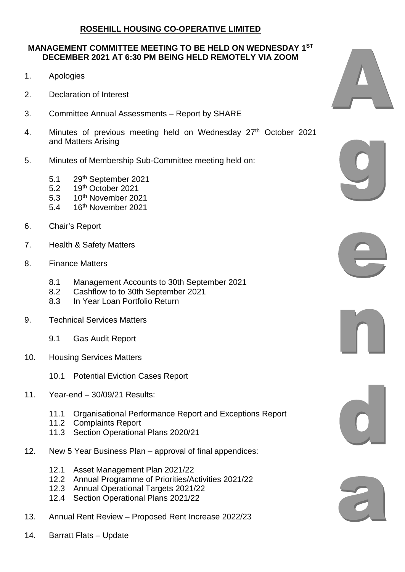## **ROSEHILL HOUSING CO-OPERATIVE LIMITED**

## **MANAGEMENT COMMITTEE MEETING TO BE HELD ON WEDNESDAY 1ST DECEMBER 2021 AT 6:30 PM BEING HELD REMOTELY VIA ZOOM**

- 1. Apologies
- 2. Declaration of Interest
- 3. Committee Annual Assessments Report by SHARE
- 4. Minutes of previous meeting held on Wednesday 27<sup>th</sup> October 2021 and Matters Arising
- 5. Minutes of Membership Sub-Committee meeting held on:
	- 5.1 29<sup>th</sup> September 2021
	- 5.2 19th October 2021
	- 5.3 10<sup>th</sup> November 2021
	- 5.4 16th November 2021
- 6. Chair's Report
- 7. Health & Safety Matters
- 8. Finance Matters
	- 8.1 Management Accounts to 30th September 2021
	- 8.2 Cashflow to to 30th September 2021<br>8.3 In Year Loan Portfolio Return
	- In Year Loan Portfolio Return
- 9. Technical Services Matters
	- 9.1 Gas Audit Report
- 10. Housing Services Matters
	- 10.1 Potential Eviction Cases Report
- 11. Year-end 30/09/21 Results:
	- 11.1 Organisational Performance Report and Exceptions Report
	- 11.2 Complaints Report
	- 11.3 Section Operational Plans 2020/21
- 12. New 5 Year Business Plan approval of final appendices:
	- 12.1 Asset Management Plan 2021/22
	- 12.2 Annual Programme of Priorities/Activities 2021/22
	- 12.3 Annual Operational Targets 2021/22
	- 12.4 Section Operational Plans 2021/22
- 13. Annual Rent Review Proposed Rent Increase 2022/23
- 14. Barratt Flats Update